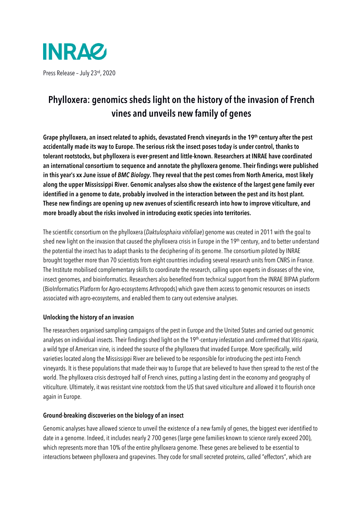

# Phylloxera: genomics sheds light on the history of the invasion of French vines and unveils new family of genes

Grape phylloxera, an insect related to aphids, devastated French vineyards in the 19th century after the pest accidentally made its way to Europe. The serious risk the insect poses today is under control, thanks to tolerant rootstocks, but phylloxera is ever-present and little-known. Researchers at INRAE have coordinated an international consortium to sequence and annotate the phylloxera genome. Their findings were published in this year's xx June issue of BMC Biology. They reveal that the pest comes from North America, most likely along the upper Mississippi River. Genomic analyses also show the existence of the largest gene family ever identified in a genome to date, probably involved in the interaction between the pest and its host plant. These new findings are opening up new avenues of scientific research into how to improve viticulture, and more broadly about the risks involved in introducing exotic species into territories.

The scientific consortium on the phylloxera (Daktulosphaira vitifoliae) genome was created in 2011 with the goal to shed new light on the invasion that caused the phylloxera crisis in Europe in the 19<sup>th</sup> century, and to better understand the potential the insect has to adapt thanks to the deciphering of its genome. The consortium piloted by INRAE brought together more than 70 scientists from eight countries including several research units from CNRS in France. The Institute mobilised complementary skills to coordinate the research, calling upon experts in diseases of the vine, insect genomes, and bioinformatics. Researchers also benefited from technical support from the INRAE BIPAA platform (BioInformatics Platform for Agro-ecosystems Arthropods) which gave them access to genomic resources on insects associated with agro-ecosystems, and enabled them to carry out extensive analyses.

# Unlocking the history of an invasion

The researchers organised sampling campaigns of the pest in Europe and the United States and carried out genomic analyses on individual insects. Their findings shed light on the 19<sup>th</sup>-century infestation and confirmed that Vitis riparia, a wild type of American vine, is indeed the source of the phylloxera that invaded Europe. More specifically, wild varieties located along the Mississippi River are believed to be responsible for introducing the pest into French vineyards. It is these populations that made their way to Europe that are believed to have then spread to the rest of the world. The phylloxera crisis destroyed half of French vines, putting a lasting dent in the economy and geography of viticulture. Ultimately, it was resistant vine rootstock from the US that saved viticulture and allowed it to flourish once again in Europe.

# Ground-breaking discoveries on the biology of an insect

Genomic analyses have allowed science to unveil the existence of a new family of genes, the biggest ever identified to date in a genome. Indeed, it includes nearly 2 700 genes (large gene families known to science rarely exceed 200), which represents more than 10% of the entire phylloxera genome. These genes are believed to be essential to interactions between phylloxera and grapevines. They code for small secreted proteins, called "effectors", which are